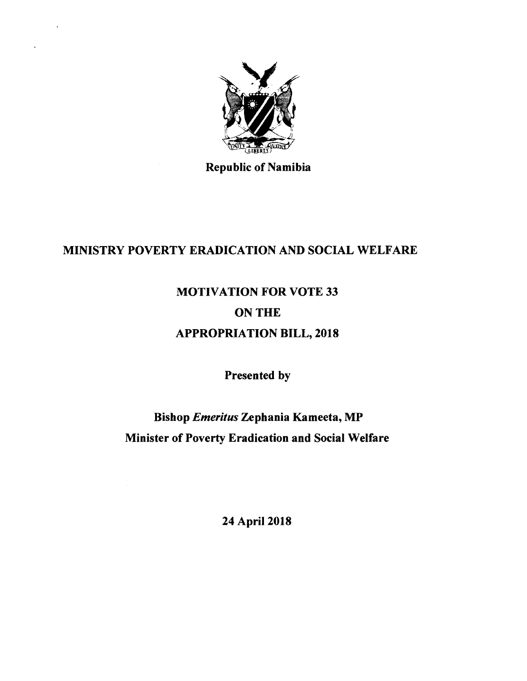

 $\ddot{\phantom{a}}$ 

Republic of Namibia

#### MINISTRY POVERTY ERADICATION AND SOCIAL WELFARE

# MOTIVATION FOR VOTE 33 ON THE APPROPRIATION BILL, 2018

Presented by

Bishop *Emeritus* Zephania Kameeta, MP Minister of Poverty Eradication and Social Welfare

24 April 2018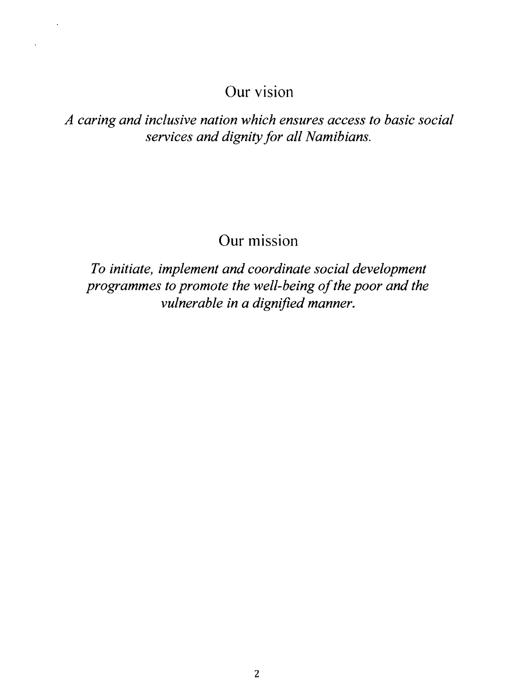## **Our** vision

*A caring and inclusive nation which ensures access to basic social services and dignity for all Namibians.*

## **Our** mission

*To initiate, implement and coordinate social development programmes to promote the well-being of the poor and the vulnerable in a dignified manner.*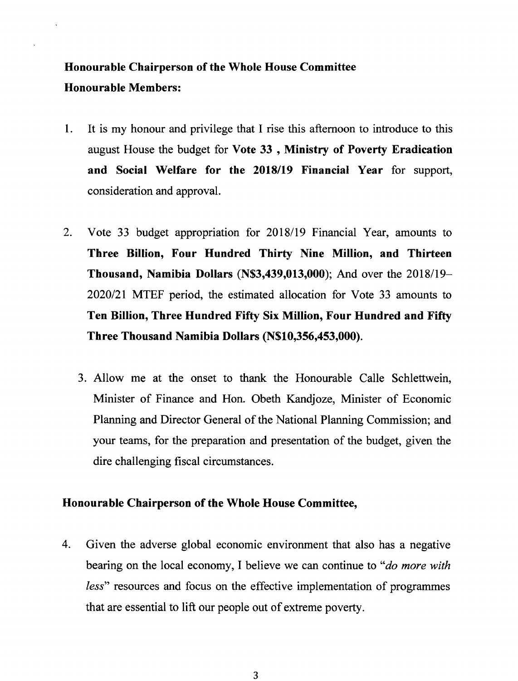## Honourable Chairperson of the Whole House Committee Honourable Members:

- 1. It is my honour and privilege that I rise this afternoon to introduce to this august House the budget for Vote 33 , Ministry of Poverty Eradication and Social Welfare for the *2018/19* Financial Year for support, consideration and approval.
- 2. Vote 33 budget appropriation for *2018/19* Financial Year, amounts to Three Billion, Four Hundred Thirty Nine Million, and Thirteen Thousand, Namibia Dollars (N\$3,439,013,000); And over the 2018/19- *2020/21* MTEF period, the estimated allocation for Vote 33 amounts to Ten Billion, Three Hundred Fifty Six Million, Four Hundred and Fifty Three Thousand Namibia Dollars (N\$10,356,453,000).
	- 3. Allow me at the onset to thank the Honourable Calle Schlettwein, Minister of Finance and Hon. Obeth Kandjoze, Minister of Economic Planning and Director General of the National Planning Commission; and your teams, for the preparation and presentation of the budget, given the dire challenging fiscal circumstances.

#### Honourable Chairperson of the Whole House Committee,

4. Given the adverse global economic environment that also has a negative bearing on the local economy, I believe we can continue to *"do more with less"* resources and focus on the effective implementation of programmes that are essential to lift our people out of extreme poverty.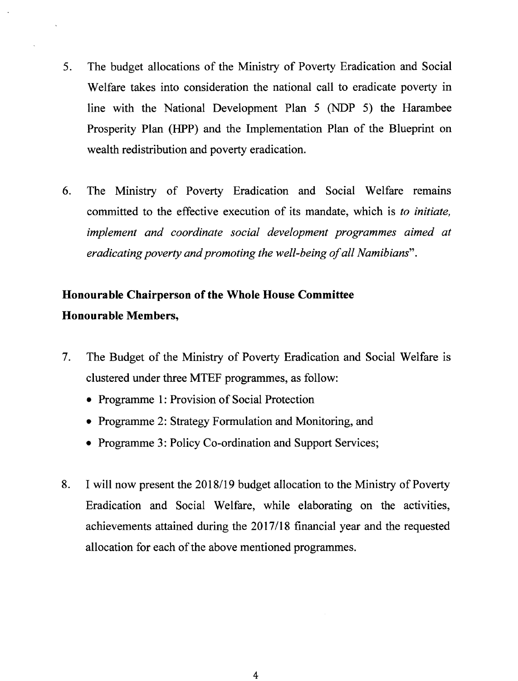- 5. The budget allocations of the Ministry of Poverty Eradication and Social Welfare takes into consideration the national call to eradicate poverty in line with the National Development Plan 5 (NDP 5) the Harambee Prosperity Plan (HPP) and the Implementation Plan of the Blueprint on wealth redistribution and poverty eradication.
- 6. The Ministry of Poverty Eradication and Social Welfare remains committed to the effective execution of its mandate, which is *to initiate, implement and coordinate social development programmes aimed at eradicating poverty and promoting the well-being of all Namibians".*

### **Honourable Chairperson of the Whole House Committee Honourable Members,**

- 7. The Budget of the Ministry of Poverty Eradication and Social Welfare is clustered under three MTEF programmes, as follow:
	- Programme 1: Provision of Social Protection
	- Programme 2: Strategy Formulation and Monitoring, and
	- Programme 3: Policy Co-ordination and Support Services;
- 8. I will now present the 2018/19 budget allocation to the Ministry of Poverty Eradication and Social Welfare, while elaborating on the activities, achievements attained during the *2017/18* financial year and the requested allocation for each of the above mentioned programmes.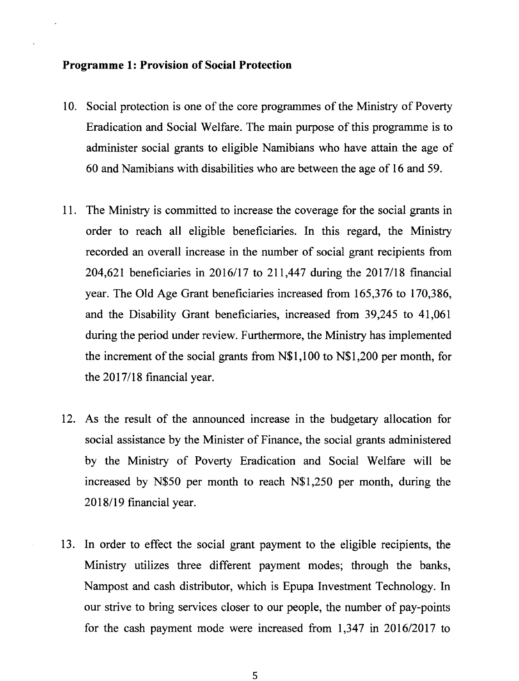#### **Programme 1: Provision of Social Protection**

- 10. Social protection is one of the core programmes of the Ministry of Poverty Eradication and Social Welfare. The main purpose of this programme is to administer social grants to eligible Namibians who have attain the age of 60 and Namibians with disabilities who are between the age of 16 and 59.
- 11. The Ministry is committed to increase the coverage for the social grants in order to reach all eligible beneficiaries. In this regard, the Ministry recorded an overall increase in the number of social grant recipients from 204,621 beneficiaries in *2016/17* to 211,447 during the *2017/18* financial year. The Old Age Grant beneficiaries increased from 165,376 to 170,386, and the Disability Grant beneficiaries, increased from 39,245 to 41,061 during the period under review. Furthermore, the Ministry has implemented the increment of the social grants from N\$I,100 to N\$I,200 per month, for the *2017/18* financial year.
- 12. As the result of the announced increase in the budgetary allocation for social assistance by the Minister of Finance, the social grants administered by the Ministry of Poverty Eradication and Social Welfare will be increased by N\$50 per month to reach N\$1,250 per month, during the *2018/19* financial year.
- 13. In order to effect the social grant payment to the eligible recipients, the Ministry utilizes three different payment modes; through the banks, Nampost and cash distributor, which is Epupa Investment Technology. In our strive to bring services closer to our people, the number of pay-points for the cash payment mode were increased from 1,347 in *2016/2017* to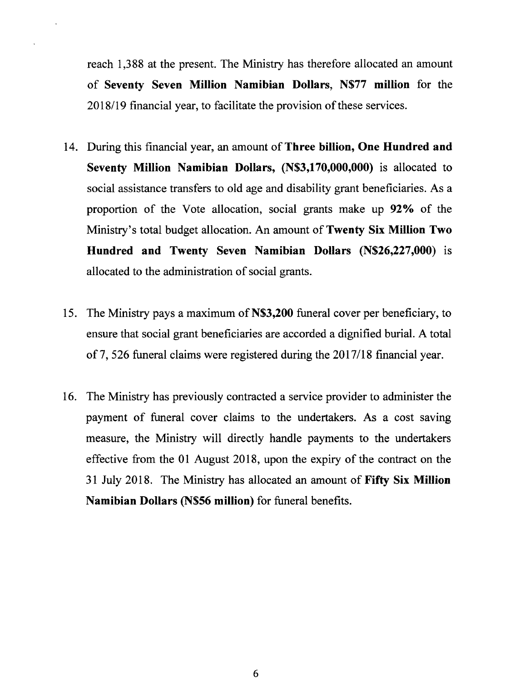reach 1,388 at the present. The Ministry has therefore allocated an amount of **Seventy Seven Million Namibian Dollars, N\$77 million** for the 2018/19 financial year, to facilitate the provision of these services.

- 14. During this financial year, an amount of Three **billion, One Hundred and Seventy Million Namibian Dollars, (N\$3,170,OOO,OOO)**is allocated to social assistance transfers to old age and disability grant beneficiaries. As a proportion of the Vote allocation, social grants make up **92**% of the Ministry's total budget allocation. An amount of Twenty **Six Million Two Hundred and Twenty Seven Namibian Dollars (N\$26,227,OOO)** is allocated to the administration of social grants.
- 15. The Ministry pays a maximum of **N\$3,200** funeral cover per beneficiary, to ensure that social grant beneficiaries are accorded a dignified burial. A total 0[7,526 funeral claims were registered during the *2017/18* financial year.
- 16. The Ministry has previously contracted a service provider to administer the payment of funeral cover claims to the undertakers. As a cost saving measure, the Ministry will directly handle payments to the undertakers effective from the 01 August 2018, upon the expiry of the contract on the 31 July 2018. The Ministry has allocated an amount of **Fifty Six Million Namibian Dollars (N\$56 million)** for funeral benefits.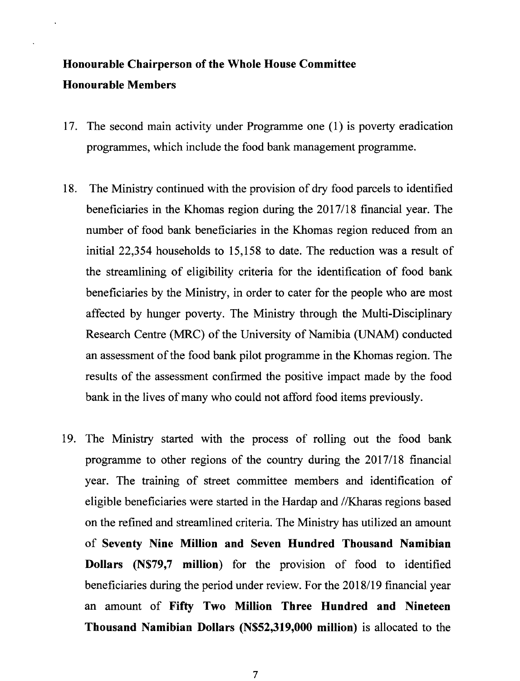### Honourable Chairperson of the Whole House Committee Honourable Members

- 17. The second main activity under Programme one (l) is poverty eradication programmes, which include the food bank management programme.
- 18. The Ministry continued with the provision of dry food parcels to identified beneficiaries in the Khomas region during the *2017/18* financial year. The number of food bank beneficiaries in the Khomas region reduced from an initial 22,354 households to 15,158 to date. The reduction was a result of the streamlining of eligibility criteria for the identification of food bank beneficiaries by the Ministry, in order to cater for the people who are most affected by hunger poverty. The Ministry through the Multi-Disciplinary Research Centre (MRC) of the University of Namibia (UNAM) conducted an assessment of the food bank pilot programme in the Khomas region. The results of the assessment confirmed the positive impact made by the food bank in the lives of many who could not afford food items previously.
- 19. The Ministry started with the process of rolling out the food bank programme to other regions of the country during the *2017/18* financial year. The training of street committee members and identification of eligible beneficiaries were started in the Hardap and *1*lKharas regions based on the refined and streamlined criteria. The Ministry has utilized an amount of Seventy Nine Million and Seven Hundred Thousand Namibian Dollars (N\$79,7 million) for the provision of food to identified beneficiaries during the period under review. For the *2018/19* financial year an amount of Fifty Two Million Three Hundred and Nineteen Thousand Namibian Dollars (N\$S2,319,OOOmillion) is allocated to the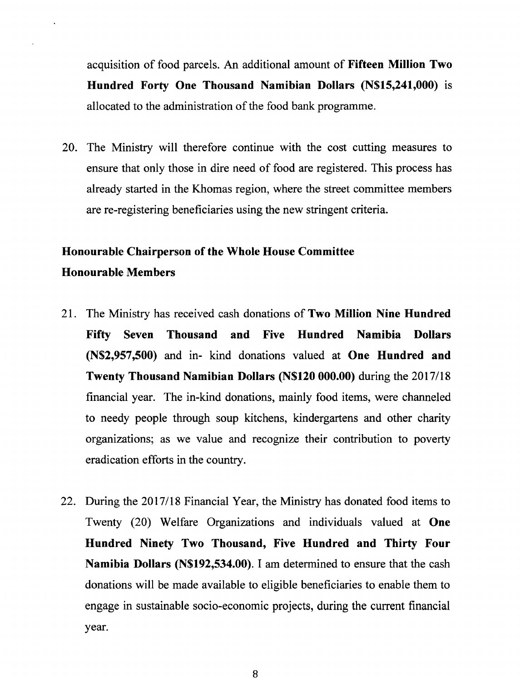acquisition of food parcels. An additional amount of **Fifteen Million Two Hundred Forty One Thousand Namibian Dollars (N\$15,241,000)** IS allocated to the administration of the food bank programme.

20. The Ministry will therefore continue with the cost cutting measures to ensure that only those in dire need of food are registered. This process has already started in the Khomas region, where the street committee members are re-registering beneficiaries using the new stringent criteria.

#### **Honourable Chairperson of the Whole House Committee Honourable Members**

- 21. The Ministry has received cash donations of **Two Million Nine Hundred Fifty Seven Thousand and Five Hundred Namibia Dollars (N\$2,957,500)** and in- kind donations valued at **One Hundred and Twenty Thousand Namibian Dollars (N\$120 000.00)** during the *2017/18* financial year. The in-kind donations, mainly food items, were channeled to needy people through soup kitchens, kindergartens and other charity organizations; as we value and recognize their contribution to poverty eradication efforts in the country.
- 22. During the *2017/18* Financial Year, the Ministry has donated food items to Twenty (20) Welfare Organizations and individuals valued at **One Hundred Ninety Two Thousand, Five Hundred and Thirty Four Namibia Dollars (N\$192,534.00).** I am determined to ensure that the cash donations will be made available to eligible beneficiaries to enable them to engage in sustainable socio-economic projects, during the current financial year.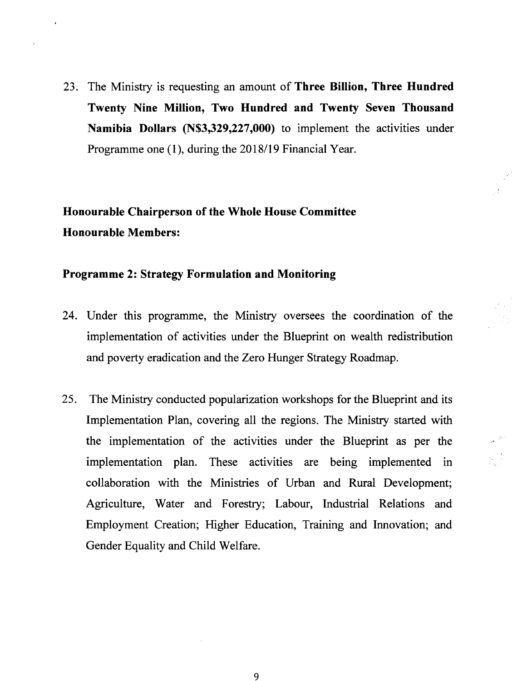23. The Ministry is requesting an amount of **Three Billion, Three Hundred Twenty Nine Million, Two Hundred and Twenty Seven Thousand Namibia Dollars (N\$3,329,227,OOO)** to implement the activities under Programme one (1), during the 2018/19 Financial Year.

**Honourable Chairperson of the Whole House Committee Honourable Members:**

#### **Programme 2: Strategy Formulation and Monitoring**

- 24. Under this programme, the Ministry oversees the coordination of the implementation of activities under the Blueprint on wealth redistribution and poverty eradication and the Zero Hunger Strategy Roadmap.
- 25. The Ministry conducted popularization workshops for the Blueprint and its Implementation Plan, covering all the regions. The Ministry started with the implementation of the activities under the Blueprint as per the implementation plan. These activities are being implemented in collaboration with the Ministries of Urban and Rural Development; Agriculture, Water and Forestry; Labour, Industrial Relations and Employment Creation; Higher Education, Training and Innovation; and Gender Equality and Child Welfare.

9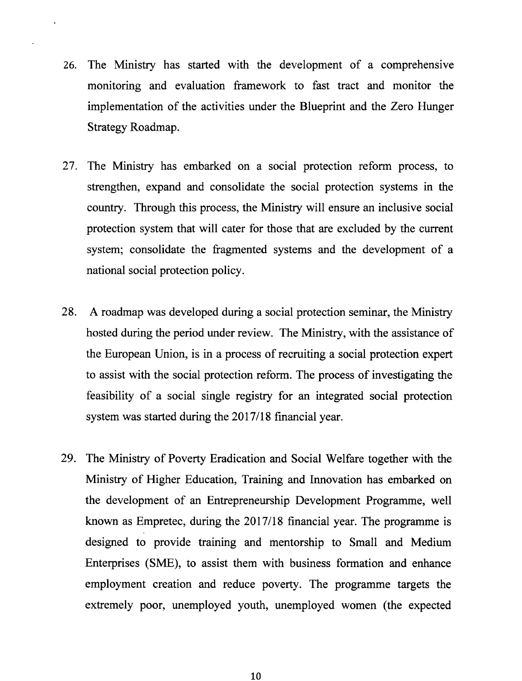- 26. The Ministry has started with the development of a comprehensive monitoring and evaluation framework to fast tract and monitor the implementation of the activities under the Blueprint and the Zero Hunger Strategy Roadmap.
- 27. The Ministry has embarked on a social protection reform process, to strengthen, expand and consolidate the social protection systems in the country. Through this process, the Ministry will ensure an inclusive social protection system that will cater for those that are excluded by the current system; consolidate the fragmented systems and the development of a national social protection policy.
- 28. A roadmap was developed during a social protection seminar, the Ministry hosted during the period under review. The Ministry, with the assistance of the European Union, is in a process of recruiting a social protection expert to assist with the social protection reform. The process of investigating the feasibility of a social single registry for an integrated social protection system was started during the *2017/18* financial year.
- 29. The Ministry of Poverty Eradication and Social Welfare together with the Ministry of Higher Education, Training and Innovation has embarked on the development of an Entrepreneurship Development Programme, well known as Empretec, during the *2017/18* financial year. The programme is designed to provide training and mentorship to Small and Medium Enterprises (SMB), to assist them with business formation and enhance employment creation and reduce poverty. The programme targets the extremely poor, unemployed youth, unemployed women (the expected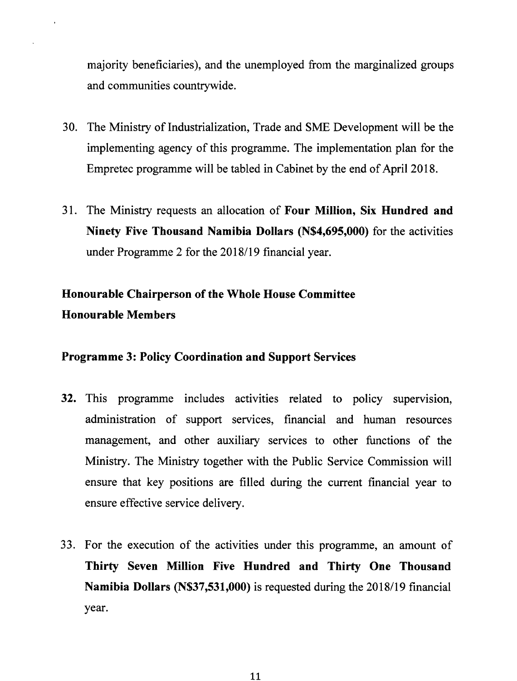majority beneficiaries), and the unemployed from the marginalized groups and communities countrywide.

- 30. The Ministry of Industrialization, Trade and SME Development will be the implementing agency of this programme. The implementation plan for the Empretec programme will be tabled in Cabinet by the end of April 2018.
- 31. The Ministry requests an allocation of **Four Million, Six Hundred and Ninety Five Thousand Namibia Dollars (N\$4,695,OOO)**for the activities under Programme 2 for the 2018/19 financial year.

### **Honourable Chairperson of the Whole House Committee Honourable Members**

#### **Programme 3: Policy Coordination and Support Services**

- **32.** This programme includes activities related to policy supervision, administration of support services, financial and human resources management, and other auxiliary services to other functions of the Ministry. The Ministry together with the Public Service Commission will ensure that key positions are filled during the current financial year to ensure effective service delivery.
- 33. For the execution of the activities under this programme, an amount of **Thirty Seven Million Five Hundred and Thirty One Thousand Namibia Dollars (N\$37,531,OOO)**is requested during the *2018/19* financial year.